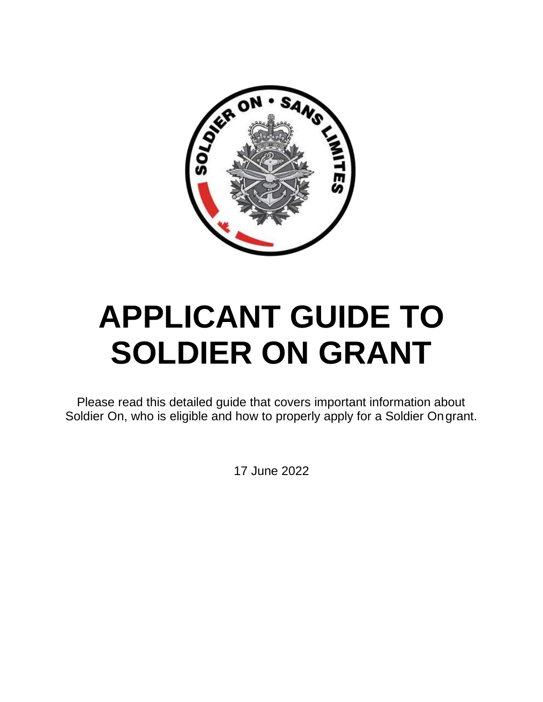

# **APPLICANT GUIDE TO SOLDIER ON GRANT**

Please read this detailed guide that covers important information about Soldier On, who is eligible and how to properly apply for a Soldier Ongrant.

17 June 2022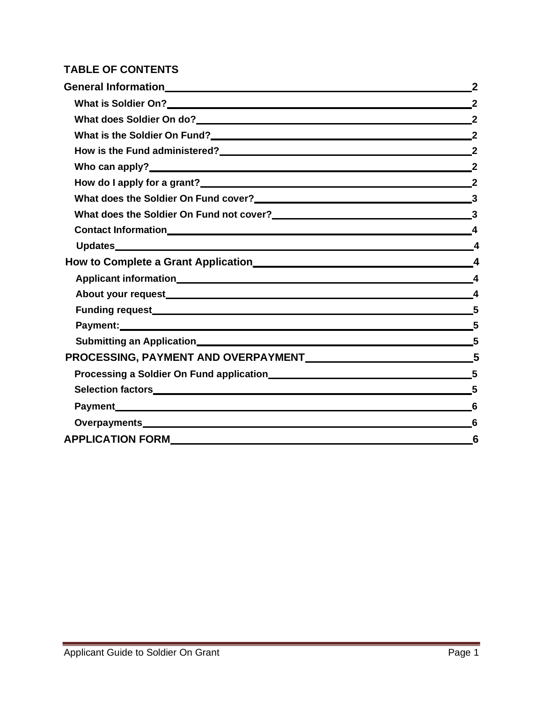#### **TABLE OF CONTENTS**

| What is Soldier On? 22                                         |  |
|----------------------------------------------------------------|--|
|                                                                |  |
| What is the Soldier On Fund?<br>2                              |  |
| How is the Fund administered?<br>2<br>2                        |  |
|                                                                |  |
|                                                                |  |
| What does the Soldier On Fund cover?<br>3                      |  |
| What does the Soldier On Fund not cover?<br>23                 |  |
|                                                                |  |
|                                                                |  |
|                                                                |  |
|                                                                |  |
|                                                                |  |
|                                                                |  |
| Payment: 5                                                     |  |
|                                                                |  |
| PROCESSING, PAYMENT AND OVERPAYMENT MELLON MANAGERS AND STRUCK |  |
|                                                                |  |
| Selection factors <b>Selection</b> 5                           |  |
| Payment 6                                                      |  |
|                                                                |  |
|                                                                |  |
|                                                                |  |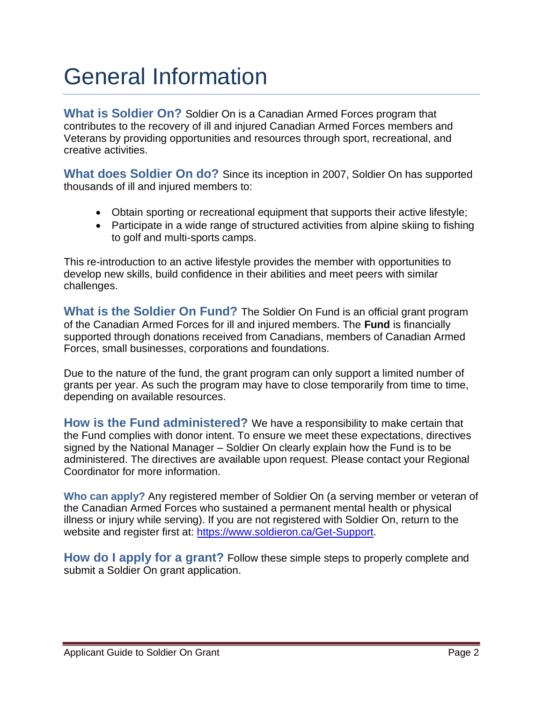### <span id="page-2-0"></span>General Information

<span id="page-2-1"></span>**What is Soldier On?** Soldier On is a Canadian Armed Forces program that contributes to the recovery of ill and injured Canadian Armed Forces members and Veterans by providing opportunities and resources through sport, recreational, and creative activities.

**What does Soldier On do?** Since its inception in 2007, Soldier On has supported thousands of ill and injured members to:

- <span id="page-2-2"></span>• Obtain sporting or recreational equipment that supports their active lifestyle;
- Participate in a wide range of structured activities from alpine skiing to fishing to golf and multi-sports camps.

This re-introduction to an active lifestyle provides the member with opportunities to develop new skills, build confidence in their abilities and meet peers with similar challenges.

<span id="page-2-3"></span>**What is the Soldier On Fund?** The Soldier On Fund is an official grant program of the Canadian Armed Forces for ill and injured members. The **Fund** is financially supported through donations received from Canadians, members of Canadian Armed Forces, small businesses, corporations and foundations.

Due to the nature of the fund, the grant program can only support a limited number of grants per year. As such the program may have to close temporarily from time to time, depending on available resources.

<span id="page-2-4"></span>**How is the Fund administered?** We have a responsibility to make certain that the Fund complies with donor intent. To ensure we meet these expectations, directives signed by the National Manager – Soldier On clearly explain how the Fund is to be administered. The directives are available upon request. Please contact your Regional Coordinator for more information.

<span id="page-2-5"></span>**Who can apply?** Any registered member of Soldier On (a serving member or veteran of the Canadian Armed Forces who sustained a permanent mental health or physical illness or injury while serving). If you are not registered with Soldier On, return to the website and register first at: [https://www.soldieron.ca/Get-Support.](https://www.soldieron.ca/Get-Support)

<span id="page-2-6"></span>**How do I apply for a grant?** Follow these simple steps to properly complete and submit a Soldier On grant application.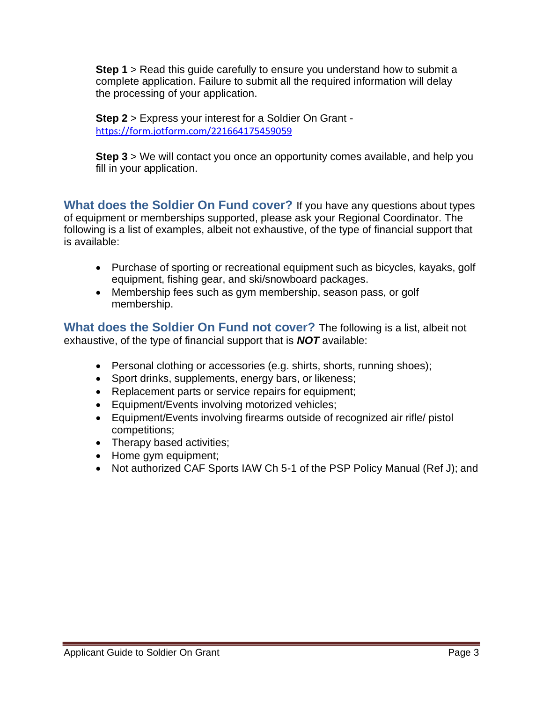**Step 1** > Read this guide carefully to ensure you understand how to submit a complete application. Failure to submit all the required information will delay the processing of your application.

**Step 2** > Express your interest for a Soldier On Grant [https://form.jotform.com/221664175459059](https://cac-word-edit.officeapps.live.com/we/%3cBLOCKED%3e*https:/can01.safelinks.protection.outlook.com/?url=https%3A%2F%2Fform.jotform.com%2F221664175459059&data=05%7C01%7Cjoe.kiraly%40soldieron.ca%7Cd7525f7ad6874ae929b108da52c3515d%7C9dcbf6dc676c45e784a105b6996f3a53%7C0%7C0%7C637913296077580704%7CUnknown%7CTWFpbGZsb3d8eyJWIjoiMC4wLjAwMDAiLCJQIjoiV2luMzIiLCJBTiI6Ik1haWwiLCJXVCI6Mn0%3D%7C3000%7C%7C%7C&sdata=rWoGFfavoCyY1RP4TbsRTCxFcrG5Og00X0BtSZ%2BKT9I%3D&reserved=0%3cBLOCKED%3e)

**Step 3** > We will contact you once an opportunity comes available, and help you fill in your application.

<span id="page-3-0"></span>**What does the Soldier On Fund cover?** If you have any questions about types of equipment or memberships supported, please ask your Regional Coordinator. The following is a list of examples, albeit not exhaustive, of the type of financial support that is available:

- Purchase of sporting or recreational equipment such as bicycles, kayaks, golf equipment, fishing gear, and ski/snowboard packages.
- Membership fees such as gym membership, season pass, or golf membership.

<span id="page-3-1"></span>**What does the Soldier On Fund not cover?** The following is a list, albeit not exhaustive, of the type of financial support that is *NOT* available:

- Personal clothing or accessories (e.g. shirts, shorts, running shoes);
- Sport drinks, supplements, energy bars, or likeness;
- Replacement parts or service repairs for equipment;
- Equipment/Events involving motorized vehicles;
- Equipment/Events involving firearms outside of recognized air rifle/ pistol competitions;
- Therapy based activities;
- Home gym equipment;
- Not authorized CAF Sports IAW Ch 5-1 of the PSP Policy Manual (Ref J); and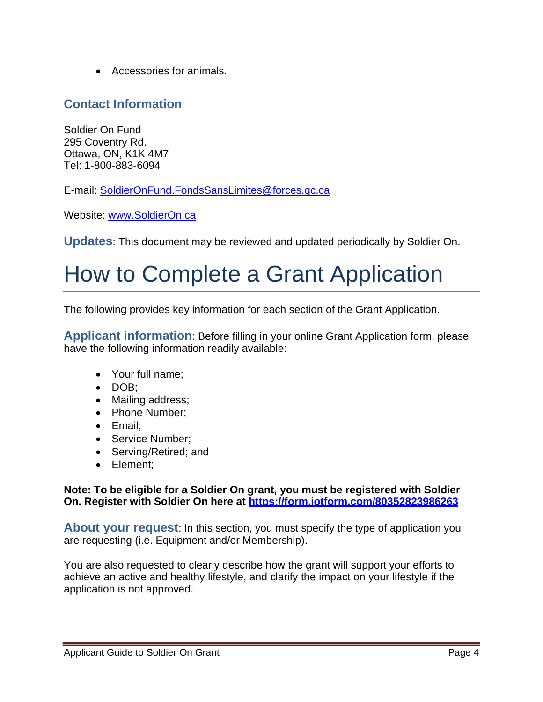• Accessories for animals.

#### <span id="page-4-0"></span>**Contact Information**

Soldier On Fund 295 Coventry Rd. Ottawa, ON, K1K 4M7 Tel: 1-800-883-6094

E-mail: [SoldierOnFund.FondsSansLimites@forces.gc.ca](mailto:SoldierOnFund.FondsSansLimites@forces.gc.ca)

Website: [www.SoldierOn.ca](http://www.soldieron.ca/)

<span id="page-4-1"></span>**Updates**: This document may be reviewed and updated periodically by Soldier On.

### <span id="page-4-2"></span>How to Complete a Grant Application

The following provides key information for each section of the Grant Application.

<span id="page-4-3"></span>**Applicant information**: Before filling in your online Grant Application form, please have the following information readily available:

- Your full name;
- DOB;
- Mailing address;
- Phone Number;
- Email;
- Service Number;
- Serving/Retired; and
- Element;

**Note: To be eligible for a Soldier On grant, you must be registered with Soldier On. Register with Soldier On here at<https://form.jotform.com/80352823986263>**

<span id="page-4-4"></span>**About your request**: In this section, you must specify the type of application you are requesting (i.e. Equipment and/or Membership).

You are also requested to clearly describe how the grant will support your efforts to achieve an active and healthy lifestyle, and clarify the impact on your lifestyle if the application is not approved.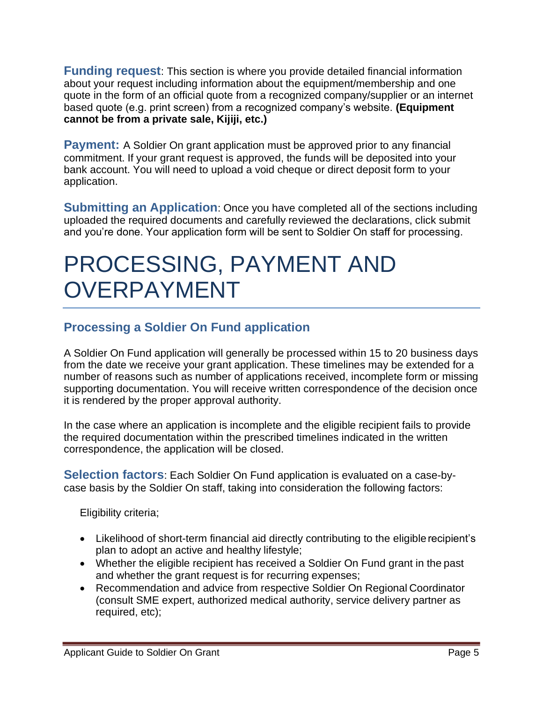<span id="page-5-0"></span>**Funding request**: This section is where you provide detailed financial information about your request including information about the equipment/membership and one quote in the form of an official quote from a recognized company/supplier or an internet based quote (e.g. print screen) from a recognized company's website. **(Equipment cannot be from a private sale, Kijiji, etc.)**

<span id="page-5-1"></span>**Payment:** A Soldier On grant application must be approved prior to any financial commitment. If your grant request is approved, the funds will be deposited into your bank account. You will need to upload a void cheque or direct deposit form to your application.

<span id="page-5-2"></span>**Submitting an Application**: Once you have completed all of the sections including uploaded the required documents and carefully reviewed the declarations, click submit and you're done. Your application form will be sent to Soldier On staff for processing.

### <span id="page-5-3"></span>PROCESSING, PAYMENT AND OVERPAYMENT

### <span id="page-5-4"></span>**Processing a Soldier On Fund application**

A Soldier On Fund application will generally be processed within 15 to 20 business days from the date we receive your grant application. These timelines may be extended for a number of reasons such as number of applications received, incomplete form or missing supporting documentation. You will receive written correspondence of the decision once it is rendered by the proper approval authority.

In the case where an application is incomplete and the eligible recipient fails to provide the required documentation within the prescribed timelines indicated in the written correspondence, the application will be closed.

<span id="page-5-5"></span>**Selection factors**: Each Soldier On Fund application is evaluated on a case-bycase basis by the Soldier On staff, taking into consideration the following factors:

Eligibility criteria;

- Likelihood of short-term financial aid directly contributing to the eligible recipient's plan to adopt an active and healthy lifestyle;
- Whether the eligible recipient has received a Soldier On Fund grant in the past and whether the grant request is for recurring expenses;
- Recommendation and advice from respective Soldier On Regional Coordinator (consult SME expert, authorized medical authority, service delivery partner as required, etc);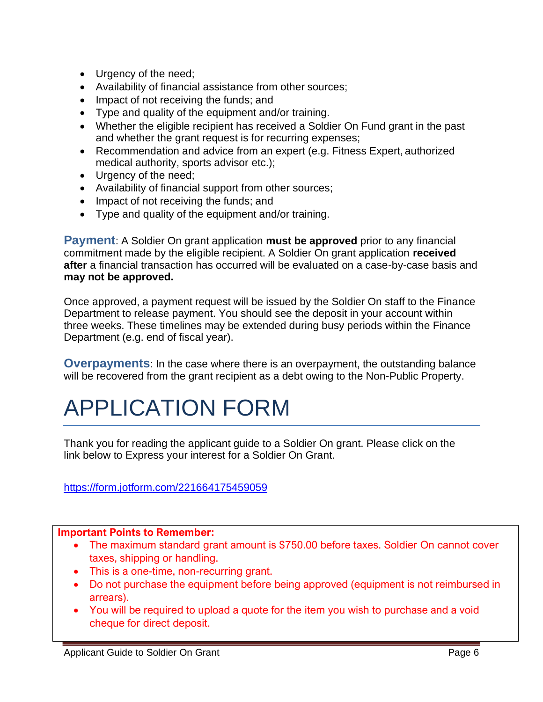- Urgency of the need;
- Availability of financial assistance from other sources;
- Impact of not receiving the funds; and
- Type and quality of the equipment and/or training.
- Whether the eligible recipient has received a Soldier On Fund grant in the past and whether the grant request is for recurring expenses;
- Recommendation and advice from an expert (e.g. Fitness Expert, authorized medical authority, sports advisor etc.);
- Urgency of the need;
- Availability of financial support from other sources;
- Impact of not receiving the funds; and
- Type and quality of the equipment and/or training.

<span id="page-6-0"></span>**Payment**: A Soldier On grant application **must be approved** prior to any financial commitment made by the eligible recipient. A Soldier On grant application **received after** a financial transaction has occurred will be evaluated on a case-by-case basis and **may not be approved.**

Once approved, a payment request will be issued by the Soldier On staff to the Finance Department to release payment. You should see the deposit in your account within three weeks. These timelines may be extended during busy periods within the Finance Department (e.g. end of fiscal year).

<span id="page-6-1"></span>**Overpayments:** In the case where there is an overpayment, the outstanding balance will be recovered from the grant recipient as a debt owing to the Non-Public Property.

## <span id="page-6-2"></span>APPLICATION FORM

Thank you for reading the applicant guide to a Soldier On grant. Please click on the link below to Express your interest for a Soldier On Grant.

<https://form.jotform.com/221664175459059>

#### **Important Points to Remember:**

- The maximum standard grant amount is \$750.00 before taxes. Soldier On cannot cover taxes, shipping or handling.
- This is a one-time, non-recurring grant.
- Do not purchase the equipment before being approved (equipment is not reimbursed in arrears).
- You will be required to upload a quote for the item you wish to purchase and a void cheque for direct deposit.